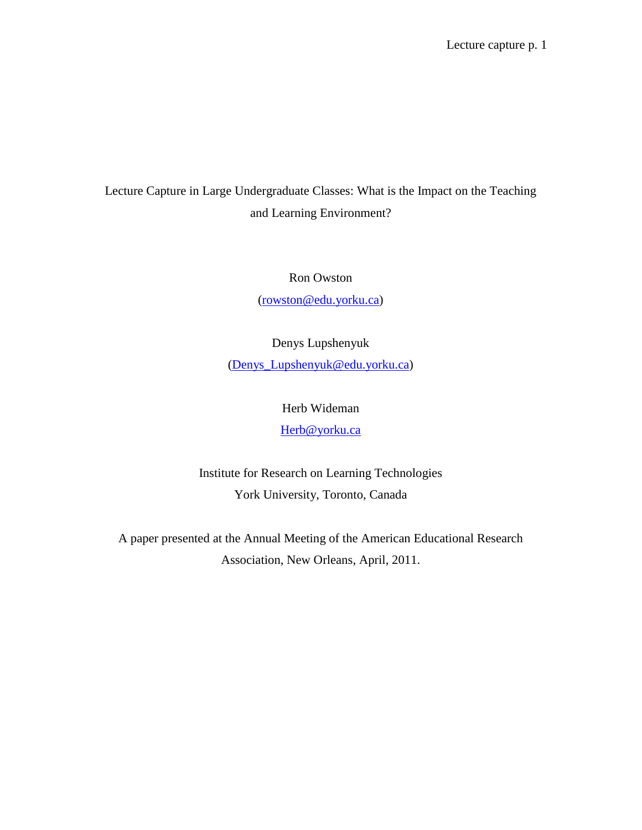Lecture Capture in Large Undergraduate Classes: What is the Impact on the Teaching and Learning Environment?

# Ron Owston

[\(rowston@edu.yorku.ca\)](mailto:rowston@edu.yorku.ca)

Denys Lupshenyuk [\(Denys\\_Lupshenyuk@edu.yorku.ca\)](mailto:Denys_Lupshenyuk@edu.yorku.ca)

> Herb Wideman [Herb@yorku.ca](mailto:Herb@yorku.ca)

Institute for Research on Learning Technologies York University, Toronto, Canada

A paper presented at the Annual Meeting of the American Educational Research Association, New Orleans, April, 2011.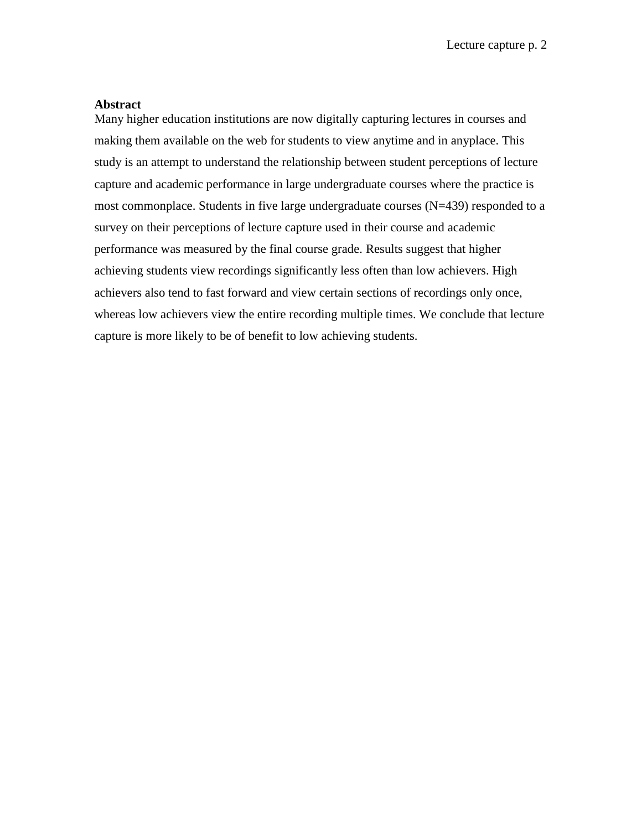## **Abstract**

Many higher education institutions are now digitally capturing lectures in courses and making them available on the web for students to view anytime and in anyplace. This study is an attempt to understand the relationship between student perceptions of lecture capture and academic performance in large undergraduate courses where the practice is most commonplace. Students in five large undergraduate courses (N=439) responded to a survey on their perceptions of lecture capture used in their course and academic performance was measured by the final course grade. Results suggest that higher achieving students view recordings significantly less often than low achievers. High achievers also tend to fast forward and view certain sections of recordings only once, whereas low achievers view the entire recording multiple times. We conclude that lecture capture is more likely to be of benefit to low achieving students.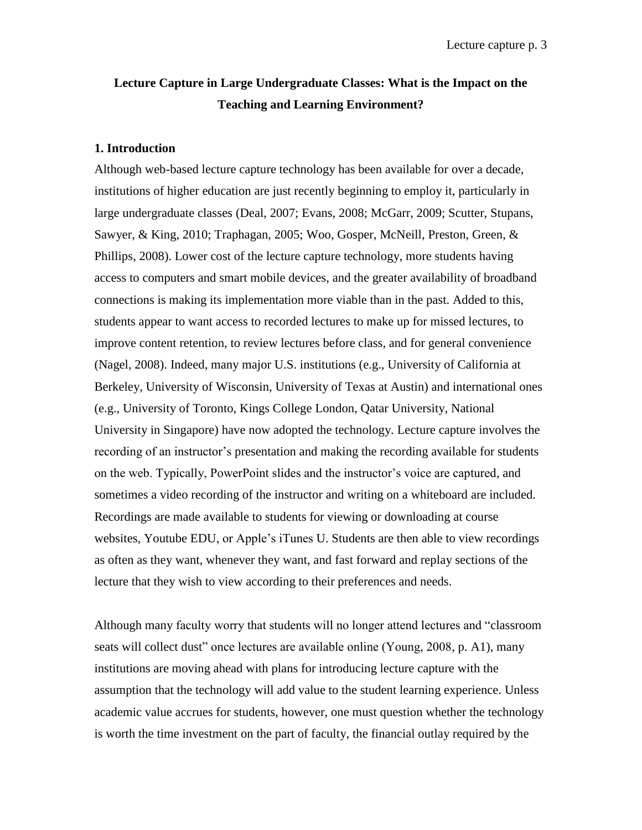# **Lecture Capture in Large Undergraduate Classes: What is the Impact on the Teaching and Learning Environment?**

#### **1. Introduction**

Although web-based lecture capture technology has been available for over a decade, institutions of higher education are just recently beginning to employ it, particularly in large undergraduate classes (Deal, 2007; Evans, 2008; McGarr, 2009; Scutter, Stupans, Sawyer, & King, 2010; Traphagan, 2005; Woo, Gosper, McNeill, Preston, Green, & Phillips, 2008). Lower cost of the lecture capture technology, more students having access to computers and smart mobile devices, and the greater availability of broadband connections is making its implementation more viable than in the past. Added to this, students appear to want access to recorded lectures to make up for missed lectures, to improve content retention, to review lectures before class, and for general convenience (Nagel, 2008). Indeed, many major U.S. institutions (e.g., University of California at Berkeley, University of Wisconsin, University of Texas at Austin) and international ones (e.g., University of Toronto, Kings College London, Qatar University, National University in Singapore) have now adopted the technology. Lecture capture involves the recording of an instructor's presentation and making the recording available for students on the web. Typically, PowerPoint slides and the instructor's voice are captured, and sometimes a video recording of the instructor and writing on a whiteboard are included. Recordings are made available to students for viewing or downloading at course websites, Youtube EDU, or Apple's iTunes U. Students are then able to view recordings as often as they want, whenever they want, and fast forward and replay sections of the lecture that they wish to view according to their preferences and needs.

Although many faculty worry that students will no longer attend lectures and "classroom" seats will collect dust" once lectures are available online (Young, 2008, p. A1), many institutions are moving ahead with plans for introducing lecture capture with the assumption that the technology will add value to the student learning experience. Unless academic value accrues for students, however, one must question whether the technology is worth the time investment on the part of faculty, the financial outlay required by the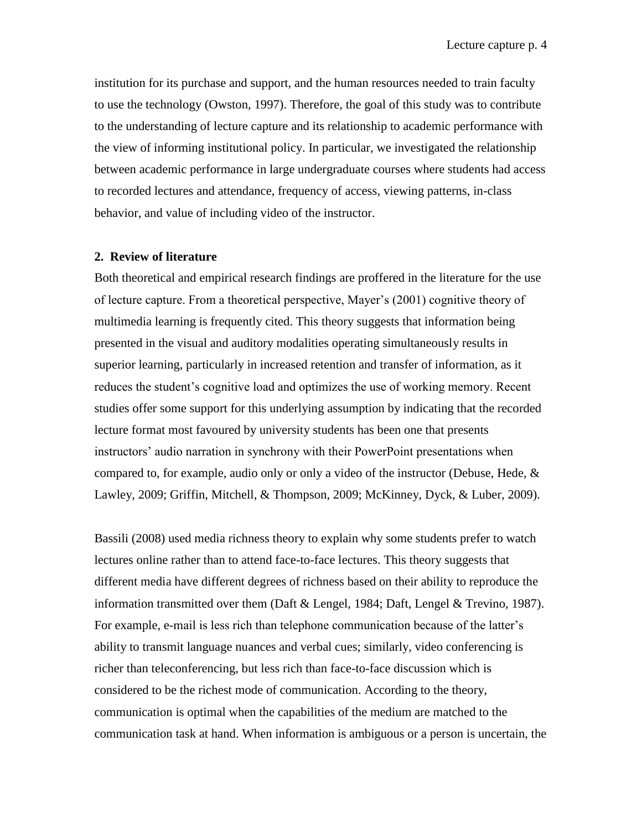institution for its purchase and support, and the human resources needed to train faculty to use the technology (Owston, 1997). Therefore, the goal of this study was to contribute to the understanding of lecture capture and its relationship to academic performance with the view of informing institutional policy. In particular, we investigated the relationship between academic performance in large undergraduate courses where students had access to recorded lectures and attendance, frequency of access, viewing patterns, in-class behavior, and value of including video of the instructor.

### **2. Review of literature**

Both theoretical and empirical research findings are proffered in the literature for the use of lecture capture. From a theoretical perspective, Mayer's (2001) cognitive theory of multimedia learning is frequently cited. This theory suggests that information being presented in the visual and auditory modalities operating simultaneously results in superior learning, particularly in increased retention and transfer of information, as it reduces the student's cognitive load and optimizes the use of working memory. Recent studies offer some support for this underlying assumption by indicating that the recorded lecture format most favoured by university students has been one that presents instructors' audio narration in synchrony with their PowerPoint presentations when compared to, for example, audio only or only a video of the instructor (Debuse, Hede,  $\&$ Lawley, 2009; Griffin, Mitchell, & Thompson, 2009; McKinney, Dyck, & Luber, 2009).

Bassili (2008) used media richness theory to explain why some students prefer to watch lectures online rather than to attend face-to-face lectures. This theory suggests that different media have different degrees of richness based on their ability to reproduce the information transmitted over them (Daft & Lengel, 1984; Daft, Lengel & Trevino, 1987). For example, e-mail is less rich than telephone communication because of the latter's ability to transmit language nuances and verbal cues; similarly, video conferencing is richer than teleconferencing, but less rich than face-to-face discussion which is considered to be the richest mode of communication. According to the theory, communication is optimal when the capabilities of the medium are matched to the communication task at hand. When information is ambiguous or a person is uncertain, the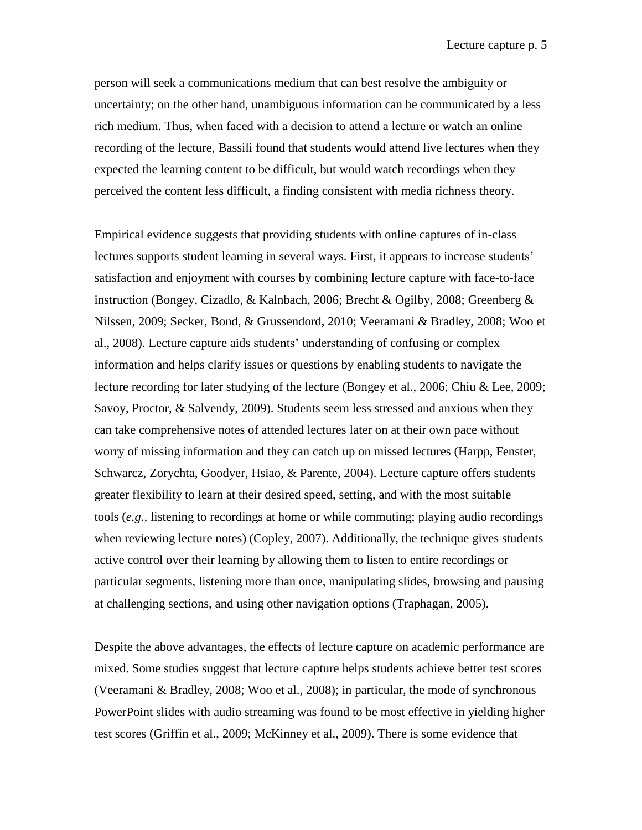person will seek a communications medium that can best resolve the ambiguity or uncertainty; on the other hand, unambiguous information can be communicated by a less rich medium. Thus, when faced with a decision to attend a lecture or watch an online recording of the lecture, Bassili found that students would attend live lectures when they expected the learning content to be difficult, but would watch recordings when they perceived the content less difficult, a finding consistent with media richness theory.

Empirical evidence suggests that providing students with online captures of in-class lectures supports student learning in several ways. First, it appears to increase students' satisfaction and enjoyment with courses by combining lecture capture with face-to-face instruction (Bongey, Cizadlo, & Kalnbach, 2006; Brecht & Ogilby, 2008; Greenberg & Nilssen, 2009; Secker, Bond, & Grussendord, 2010; Veeramani & Bradley, 2008; Woo et al., 2008). Lecture capture aids students' understanding of confusing or complex information and helps clarify issues or questions by enabling students to navigate the lecture recording for later studying of the lecture (Bongey et al., 2006; Chiu & Lee, 2009; Savoy, Proctor, & Salvendy, 2009). Students seem less stressed and anxious when they can take comprehensive notes of attended lectures later on at their own pace without worry of missing information and they can catch up on missed lectures (Harpp, Fenster, Schwarcz, Zorychta, Goodyer, Hsiao, & Parente, 2004). Lecture capture offers students greater flexibility to learn at their desired speed, setting, and with the most suitable tools (*e.g.,* listening to recordings at home or while commuting; playing audio recordings when reviewing lecture notes) (Copley, 2007). Additionally, the technique gives students active control over their learning by allowing them to listen to entire recordings or particular segments, listening more than once, manipulating slides, browsing and pausing at challenging sections, and using other navigation options (Traphagan, 2005).

Despite the above advantages, the effects of lecture capture on academic performance are mixed. Some studies suggest that lecture capture helps students achieve better test scores (Veeramani & Bradley, 2008; Woo et al., 2008); in particular, the mode of synchronous PowerPoint slides with audio streaming was found to be most effective in yielding higher test scores (Griffin et al., 2009; McKinney et al., 2009). There is some evidence that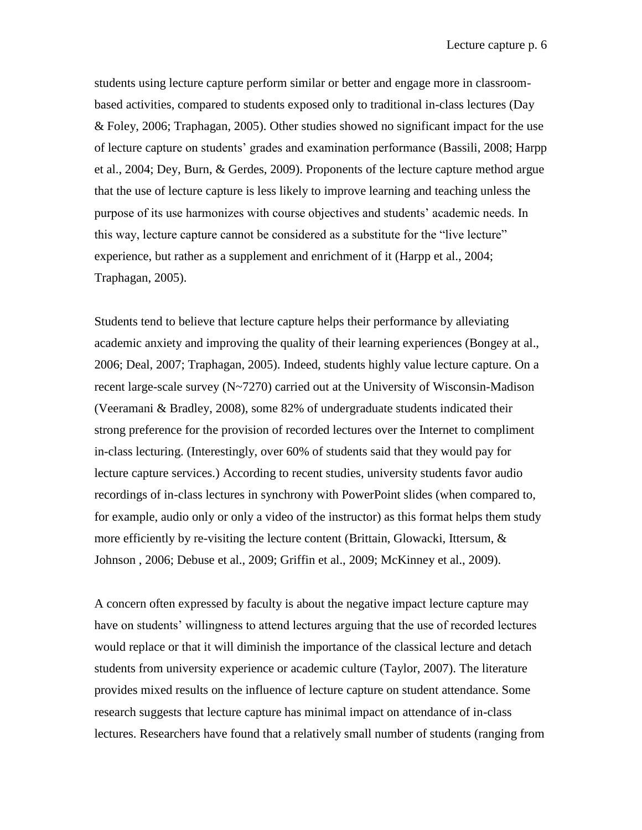students using lecture capture perform similar or better and engage more in classroombased activities, compared to students exposed only to traditional in-class lectures (Day & Foley, 2006; Traphagan, 2005). Other studies showed no significant impact for the use of lecture capture on students' grades and examination performance (Bassili, 2008; Harpp et al., 2004; Dey, Burn, & Gerdes, 2009). Proponents of the lecture capture method argue that the use of lecture capture is less likely to improve learning and teaching unless the purpose of its use harmonizes with course objectives and students' academic needs. In this way, lecture capture cannot be considered as a substitute for the "live lecture" experience, but rather as a supplement and enrichment of it (Harpp et al., 2004; Traphagan, 2005).

Students tend to believe that lecture capture helps their performance by alleviating academic anxiety and improving the quality of their learning experiences (Bongey at al., 2006; Deal, 2007; Traphagan, 2005). Indeed, students highly value lecture capture. On a recent large-scale survey (N~7270) carried out at the University of Wisconsin-Madison (Veeramani & Bradley, 2008), some 82% of undergraduate students indicated their strong preference for the provision of recorded lectures over the Internet to compliment in-class lecturing. (Interestingly, over 60% of students said that they would pay for lecture capture services.) According to recent studies, university students favor audio recordings of in-class lectures in synchrony with PowerPoint slides (when compared to, for example, audio only or only a video of the instructor) as this format helps them study more efficiently by re-visiting the lecture content (Brittain, Glowacki, Ittersum, & Johnson , 2006; Debuse et al., 2009; Griffin et al., 2009; McKinney et al., 2009).

A concern often expressed by faculty is about the negative impact lecture capture may have on students' willingness to attend lectures arguing that the use of recorded lectures would replace or that it will diminish the importance of the classical lecture and detach students from university experience or academic culture (Taylor, 2007). The literature provides mixed results on the influence of lecture capture on student attendance. Some research suggests that lecture capture has minimal impact on attendance of in-class lectures. Researchers have found that a relatively small number of students (ranging from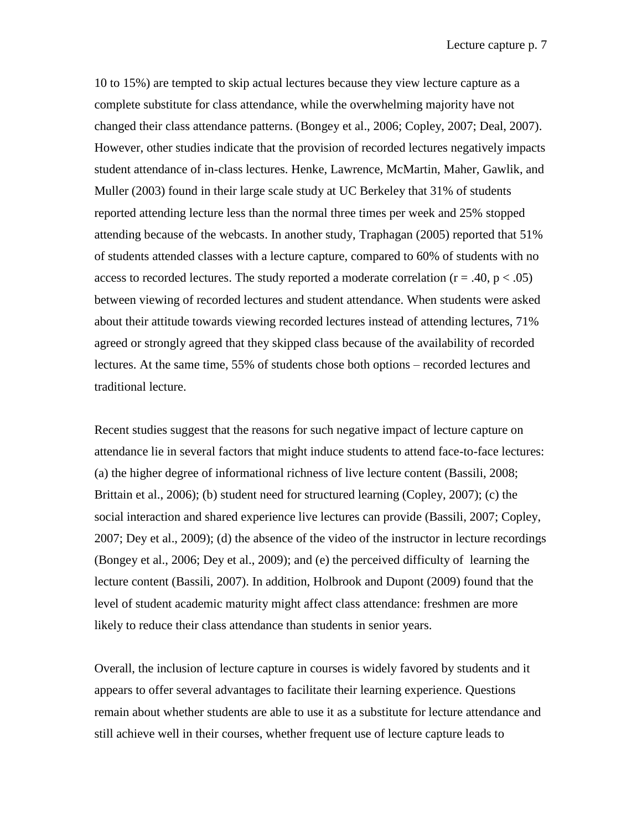10 to 15%) are tempted to skip actual lectures because they view lecture capture as a complete substitute for class attendance, while the overwhelming majority have not changed their class attendance patterns. (Bongey et al., 2006; Copley, 2007; Deal, 2007). However, other studies indicate that the provision of recorded lectures negatively impacts student attendance of in-class lectures. Henke, Lawrence, McMartin, Maher, Gawlik, and Muller (2003) found in their large scale study at UC Berkeley that 31% of students reported attending lecture less than the normal three times per week and 25% stopped attending because of the webcasts. In another study, Traphagan (2005) reported that 51% of students attended classes with a lecture capture, compared to 60% of students with no access to recorded lectures. The study reported a moderate correlation ( $r = .40$ ,  $p < .05$ ) between viewing of recorded lectures and student attendance. When students were asked about their attitude towards viewing recorded lectures instead of attending lectures, 71% agreed or strongly agreed that they skipped class because of the availability of recorded lectures. At the same time, 55% of students chose both options – recorded lectures and traditional lecture.

Recent studies suggest that the reasons for such negative impact of lecture capture on attendance lie in several factors that might induce students to attend face-to-face lectures: (a) the higher degree of informational richness of live lecture content (Bassili, 2008; Brittain et al., 2006); (b) student need for structured learning (Copley, 2007); (c) the social interaction and shared experience live lectures can provide (Bassili, 2007; Copley, 2007; Dey et al., 2009); (d) the absence of the video of the instructor in lecture recordings (Bongey et al., 2006; Dey et al., 2009); and (e) the perceived difficulty of learning the lecture content (Bassili, 2007). In addition, Holbrook and Dupont (2009) found that the level of student academic maturity might affect class attendance: freshmen are more likely to reduce their class attendance than students in senior years.

Overall, the inclusion of lecture capture in courses is widely favored by students and it appears to offer several advantages to facilitate their learning experience. Questions remain about whether students are able to use it as a substitute for lecture attendance and still achieve well in their courses, whether frequent use of lecture capture leads to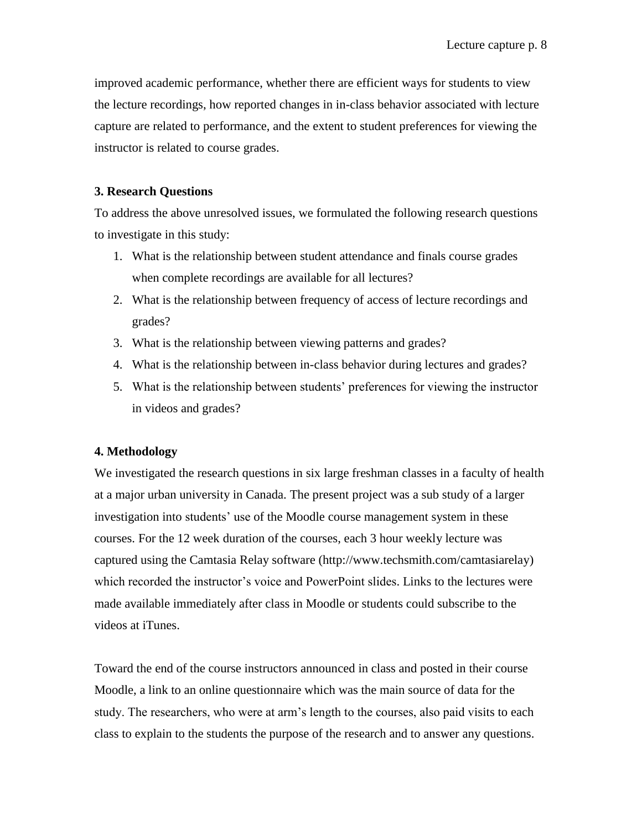improved academic performance, whether there are efficient ways for students to view the lecture recordings, how reported changes in in-class behavior associated with lecture capture are related to performance, and the extent to student preferences for viewing the instructor is related to course grades.

# **3. Research Questions**

To address the above unresolved issues, we formulated the following research questions to investigate in this study:

- 1. What is the relationship between student attendance and finals course grades when complete recordings are available for all lectures?
- 2. What is the relationship between frequency of access of lecture recordings and grades?
- 3. What is the relationship between viewing patterns and grades?
- 4. What is the relationship between in-class behavior during lectures and grades?
- 5. What is the relationship between students' preferences for viewing the instructor in videos and grades?

# **4. Methodology**

We investigated the research questions in six large freshman classes in a faculty of health at a major urban university in Canada. The present project was a sub study of a larger investigation into students' use of the Moodle course management system in these courses. For the 12 week duration of the courses, each 3 hour weekly lecture was captured using the Camtasia Relay software (http://www.techsmith.com/camtasiarelay) which recorded the instructor's voice and PowerPoint slides. Links to the lectures were made available immediately after class in Moodle or students could subscribe to the videos at iTunes.

Toward the end of the course instructors announced in class and posted in their course Moodle, a link to an online questionnaire which was the main source of data for the study. The researchers, who were at arm's length to the courses, also paid visits to each class to explain to the students the purpose of the research and to answer any questions.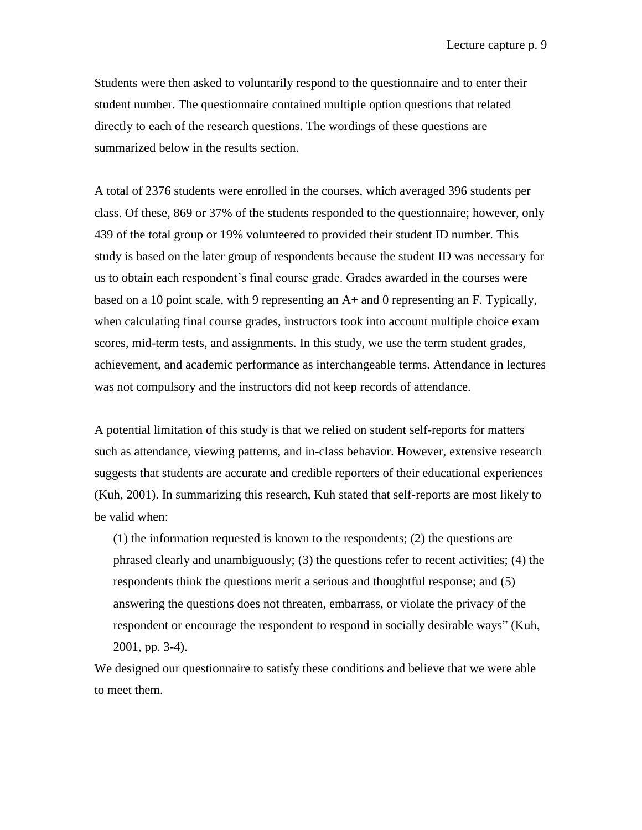Students were then asked to voluntarily respond to the questionnaire and to enter their student number. The questionnaire contained multiple option questions that related directly to each of the research questions. The wordings of these questions are summarized below in the results section.

A total of 2376 students were enrolled in the courses, which averaged 396 students per class. Of these, 869 or 37% of the students responded to the questionnaire; however, only 439 of the total group or 19% volunteered to provided their student ID number. This study is based on the later group of respondents because the student ID was necessary for us to obtain each respondent's final course grade. Grades awarded in the courses were based on a 10 point scale, with 9 representing an A+ and 0 representing an F. Typically, when calculating final course grades, instructors took into account multiple choice exam scores, mid-term tests, and assignments. In this study, we use the term student grades, achievement, and academic performance as interchangeable terms. Attendance in lectures was not compulsory and the instructors did not keep records of attendance.

A potential limitation of this study is that we relied on student self-reports for matters such as attendance, viewing patterns, and in-class behavior. However, extensive research suggests that students are accurate and credible reporters of their educational experiences (Kuh, 2001). In summarizing this research, Kuh stated that self-reports are most likely to be valid when:

(1) the information requested is known to the respondents; (2) the questions are phrased clearly and unambiguously; (3) the questions refer to recent activities; (4) the respondents think the questions merit a serious and thoughtful response; and (5) answering the questions does not threaten, embarrass, or violate the privacy of the respondent or encourage the respondent to respond in socially desirable ways" (Kuh, 2001, pp. 3-4).

We designed our questionnaire to satisfy these conditions and believe that we were able to meet them.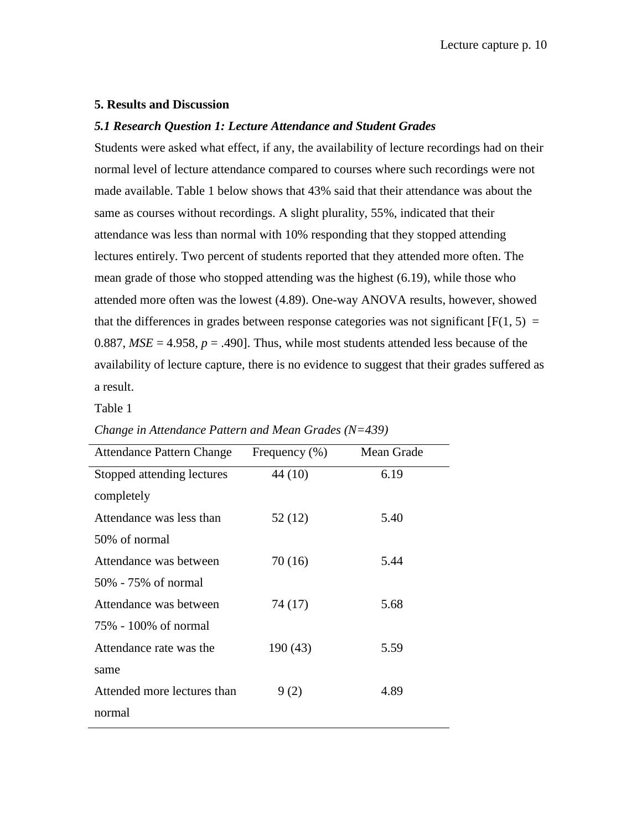## **5. Results and Discussion**

### *5.1 Research Question 1: Lecture Attendance and Student Grades*

Students were asked what effect, if any, the availability of lecture recordings had on their normal level of lecture attendance compared to courses where such recordings were not made available. Table 1 below shows that 43% said that their attendance was about the same as courses without recordings. A slight plurality, 55%, indicated that their attendance was less than normal with 10% responding that they stopped attending lectures entirely. Two percent of students reported that they attended more often. The mean grade of those who stopped attending was the highest (6.19), while those who attended more often was the lowest (4.89). One-way ANOVA results, however, showed that the differences in grades between response categories was not significant  $[F(1, 5) =$ 0.887,  $MSE = 4.958$ ,  $p = .490$ . Thus, while most students attended less because of the availability of lecture capture, there is no evidence to suggest that their grades suffered as a result.

#### Table 1

| <b>Attendance Pattern Change</b> | Frequency $(\% )$ | Mean Grade |
|----------------------------------|-------------------|------------|
| Stopped attending lectures       | 44 (10)           | 6.19       |
| completely                       |                   |            |
| Attendance was less than         | 52 (12)           | 5.40       |
| 50% of normal                    |                   |            |
| Attendance was between           | 70 (16)           | 5.44       |
| 50% - 75% of normal              |                   |            |
| Attendance was between           | 74 (17)           | 5.68       |
| 75% - 100% of normal             |                   |            |
| Attendance rate was the          | 190 (43)          | 5.59       |
| same                             |                   |            |
| Attended more lectures than      | 9(2)              | 4.89       |
| normal                           |                   |            |

*Change in Attendance Pattern and Mean Grades (N=439)*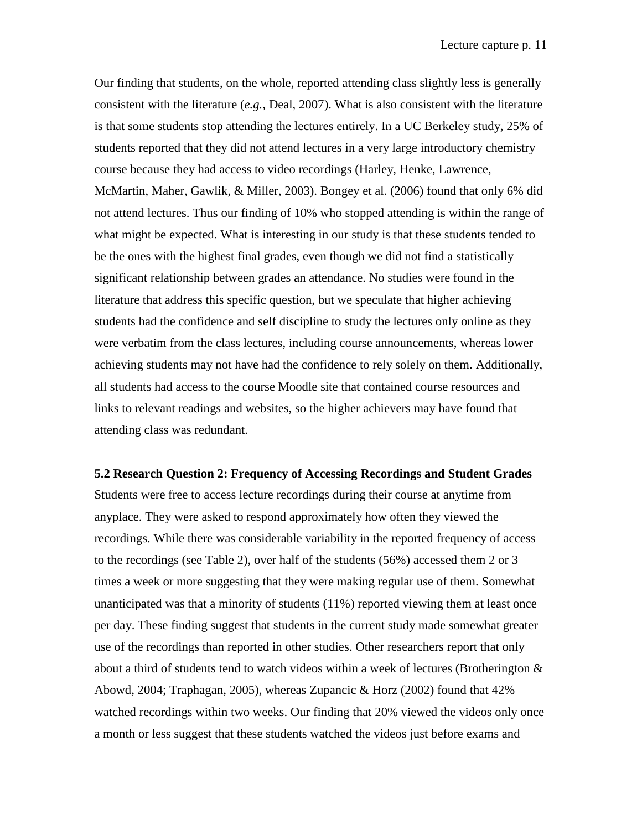Our finding that students, on the whole, reported attending class slightly less is generally consistent with the literature (*e.g.,* Deal, 2007). What is also consistent with the literature is that some students stop attending the lectures entirely. In a UC Berkeley study, 25% of students reported that they did not attend lectures in a very large introductory chemistry course because they had access to video recordings (Harley, Henke, Lawrence, McMartin, Maher, Gawlik, & Miller, 2003). Bongey et al. (2006) found that only 6% did not attend lectures. Thus our finding of 10% who stopped attending is within the range of what might be expected. What is interesting in our study is that these students tended to be the ones with the highest final grades, even though we did not find a statistically significant relationship between grades an attendance. No studies were found in the literature that address this specific question, but we speculate that higher achieving students had the confidence and self discipline to study the lectures only online as they were verbatim from the class lectures, including course announcements, whereas lower achieving students may not have had the confidence to rely solely on them. Additionally, all students had access to the course Moodle site that contained course resources and links to relevant readings and websites, so the higher achievers may have found that attending class was redundant.

**5.2 Research Question 2: Frequency of Accessing Recordings and Student Grades** Students were free to access lecture recordings during their course at anytime from anyplace. They were asked to respond approximately how often they viewed the recordings. While there was considerable variability in the reported frequency of access to the recordings (see Table 2), over half of the students (56%) accessed them 2 or 3 times a week or more suggesting that they were making regular use of them. Somewhat unanticipated was that a minority of students (11%) reported viewing them at least once per day. These finding suggest that students in the current study made somewhat greater use of the recordings than reported in other studies. Other researchers report that only about a third of students tend to watch videos within a week of lectures (Brotherington & Abowd, 2004; Traphagan, 2005), whereas Zupancic & Horz (2002) found that 42% watched recordings within two weeks. Our finding that 20% viewed the videos only once a month or less suggest that these students watched the videos just before exams and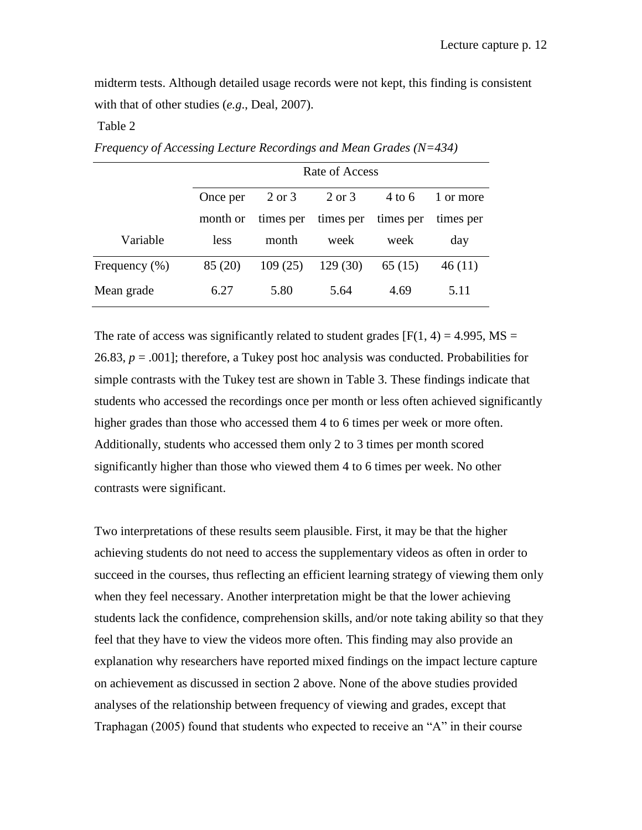midterm tests. Although detailed usage records were not kept, this finding is consistent with that of other studies (*e.g*., Deal, 2007).

## Table 2

|               | Rate of Access |         |                               |          |           |
|---------------|----------------|---------|-------------------------------|----------|-----------|
|               | Once per       | 2 or 3  | 2 or 3                        | $4$ to 6 | 1 or more |
|               | month or       |         | times per times per times per |          | times per |
| Variable      | less           | month   | week                          | week     | day       |
| Frequency (%) | 85 (20)        | 109(25) | 129(30)                       | 65(15)   | 46(11)    |
| Mean grade    | 6.27           | 5.80    | 5.64                          | 4.69     | 5.11      |

*Frequency of Accessing Lecture Recordings and Mean Grades (N=434)*

The rate of access was significantly related to student grades  $[F(1, 4) = 4.995, MS =$ 26.83,  $p = .001$ ; therefore, a Tukey post hoc analysis was conducted. Probabilities for simple contrasts with the Tukey test are shown in Table 3. These findings indicate that students who accessed the recordings once per month or less often achieved significantly higher grades than those who accessed them 4 to 6 times per week or more often. Additionally, students who accessed them only 2 to 3 times per month scored significantly higher than those who viewed them 4 to 6 times per week. No other contrasts were significant.

Two interpretations of these results seem plausible. First, it may be that the higher achieving students do not need to access the supplementary videos as often in order to succeed in the courses, thus reflecting an efficient learning strategy of viewing them only when they feel necessary. Another interpretation might be that the lower achieving students lack the confidence, comprehension skills, and/or note taking ability so that they feel that they have to view the videos more often. This finding may also provide an explanation why researchers have reported mixed findings on the impact lecture capture on achievement as discussed in section 2 above. None of the above studies provided analyses of the relationship between frequency of viewing and grades, except that Traphagan (2005) found that students who expected to receive an  $A$ <sup>n</sup> in their course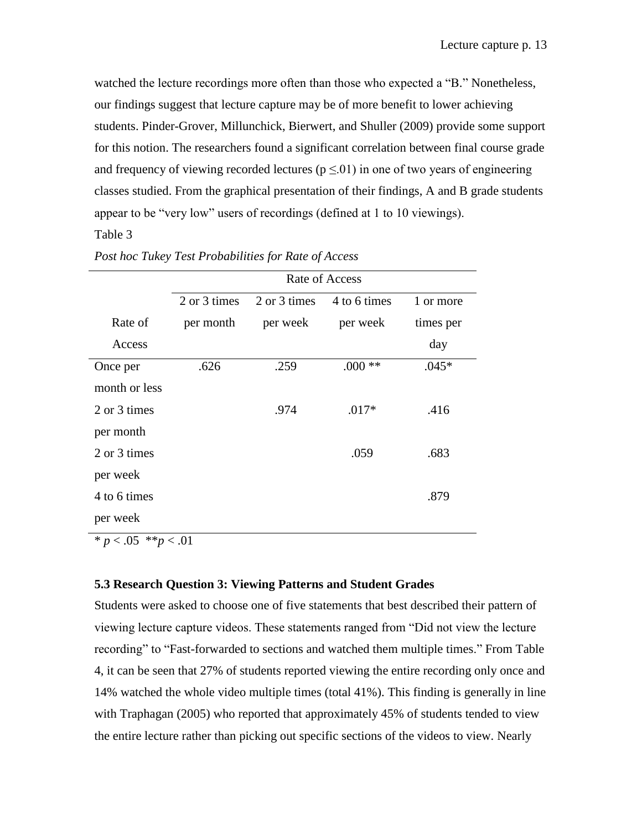watched the lecture recordings more often than those who expected a "B." Nonetheless, our findings suggest that lecture capture may be of more benefit to lower achieving students. Pinder-Grover, Millunchick, Bierwert, and Shuller (2009) provide some support for this notion. The researchers found a significant correlation between final course grade and frequency of viewing recorded lectures ( $p \le 01$ ) in one of two years of engineering classes studied. From the graphical presentation of their findings, A and B grade students appear to be "very low" users of recordings (defined at 1 to 10 viewings).

# Table 3

|               | Rate of Access |              |              |           |  |
|---------------|----------------|--------------|--------------|-----------|--|
|               | 2 or 3 times   | 2 or 3 times | 4 to 6 times | 1 or more |  |
| Rate of       | per month      | per week     | per week     | times per |  |
| Access        |                |              |              | day       |  |
| Once per      | .626           | .259         | $.000**$     | $.045*$   |  |
| month or less |                |              |              |           |  |
| 2 or 3 times  |                | .974         | $.017*$      | .416      |  |
| per month     |                |              |              |           |  |
| 2 or 3 times  |                |              | .059         | .683      |  |
| per week      |                |              |              |           |  |
| 4 to 6 times  |                |              |              | .879      |  |
| per week      |                |              |              |           |  |

| Post hoc Tukey Test Probabilities for Rate of Access |  |  |  |  |
|------------------------------------------------------|--|--|--|--|
|                                                      |  |  |  |  |

 $* p < .05$  \*\* $p < .01$ 

### **5.3 Research Question 3: Viewing Patterns and Student Grades**

Students were asked to choose one of five statements that best described their pattern of viewing lecture capture videos. These statements ranged from "Did not view the lecture recording" to "Fast-forwarded to sections and watched them multiple times." From Table 4, it can be seen that 27% of students reported viewing the entire recording only once and 14% watched the whole video multiple times (total 41%). This finding is generally in line with Traphagan (2005) who reported that approximately 45% of students tended to view the entire lecture rather than picking out specific sections of the videos to view. Nearly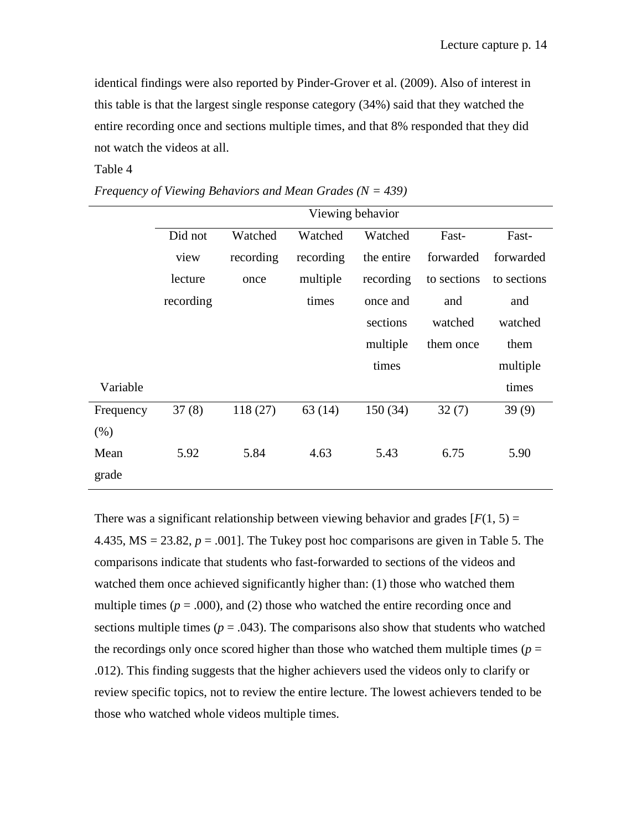identical findings were also reported by Pinder-Grover et al. (2009). Also of interest in this table is that the largest single response category (34%) said that they watched the entire recording once and sections multiple times, and that 8% responded that they did not watch the videos at all.

### Table 4

|           | Viewing behavior |           |           |            |             |             |
|-----------|------------------|-----------|-----------|------------|-------------|-------------|
|           | Did not          | Watched   | Watched   | Watched    | Fast-       | Fast-       |
|           | view             | recording | recording | the entire | forwarded   | forwarded   |
|           | lecture          | once      | multiple  | recording  | to sections | to sections |
|           | recording        |           | times     | once and   | and         | and         |
|           |                  |           |           | sections   | watched     | watched     |
|           |                  |           |           | multiple   | them once   | them        |
|           |                  |           |           | times      |             | multiple    |
| Variable  |                  |           |           |            |             | times       |
| Frequency | 37(8)            | 118(27)   | 63(14)    | 150(34)    | 32(7)       | 39(9)       |
| (% )      |                  |           |           |            |             |             |
| Mean      | 5.92             | 5.84      | 4.63      | 5.43       | 6.75        | 5.90        |
| grade     |                  |           |           |            |             |             |

*Frequency of Viewing Behaviors and Mean Grades (N = 439)*

There was a significant relationship between viewing behavior and grades  $[F(1, 5) =$ 4.435,  $MS = 23.82$ ,  $p = .001$ . The Tukey post hoc comparisons are given in Table 5. The comparisons indicate that students who fast-forwarded to sections of the videos and watched them once achieved significantly higher than: (1) those who watched them multiple times  $(p = .000)$ , and (2) those who watched the entire recording once and sections multiple times ( $p = .043$ ). The comparisons also show that students who watched the recordings only once scored higher than those who watched them multiple times ( $p =$ .012). This finding suggests that the higher achievers used the videos only to clarify or review specific topics, not to review the entire lecture. The lowest achievers tended to be those who watched whole videos multiple times.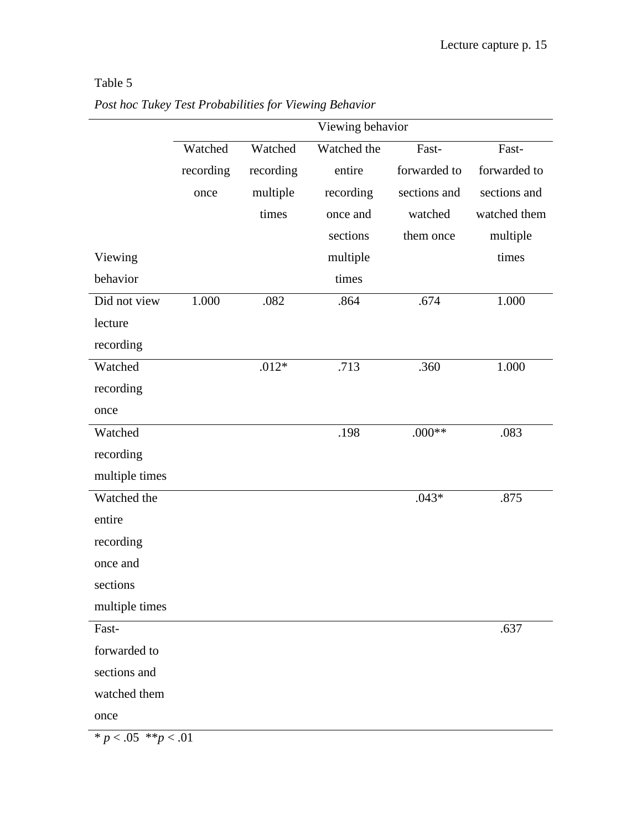# Table 5

|                          |           |           | Viewing behavior |              |              |
|--------------------------|-----------|-----------|------------------|--------------|--------------|
|                          | Watched   | Watched   | Watched the      | Fast-        | Fast-        |
|                          | recording | recording | entire           | forwarded to | forwarded to |
|                          | once      | multiple  | recording        | sections and | sections and |
|                          |           | times     | once and         | watched      | watched them |
|                          |           |           | sections         | them once    | multiple     |
| Viewing                  |           |           | multiple         |              | times        |
| behavior                 |           |           | times            |              |              |
| Did not view             | 1.000     | .082      | .864             | .674         | 1.000        |
| lecture                  |           |           |                  |              |              |
| recording                |           |           |                  |              |              |
| Watched                  |           | $.012*$   | .713             | .360         | 1.000        |
| recording                |           |           |                  |              |              |
| once                     |           |           |                  |              |              |
| Watched                  |           |           | .198             | $.000**$     | .083         |
| recording                |           |           |                  |              |              |
| multiple times           |           |           |                  |              |              |
| Watched the              |           |           |                  | $.043*$      | .875         |
| entire                   |           |           |                  |              |              |
| recording                |           |           |                  |              |              |
| once and                 |           |           |                  |              |              |
| sections                 |           |           |                  |              |              |
| multiple times           |           |           |                  |              |              |
| Fast-                    |           |           |                  |              | .637         |
| forwarded to             |           |           |                  |              |              |
| sections and             |           |           |                  |              |              |
| watched them             |           |           |                  |              |              |
| once                     |           |           |                  |              |              |
| * $p < .05$ ** $p < .01$ |           |           |                  |              |              |

*Post hoc Tukey Test Probabilities for Viewing Behavior*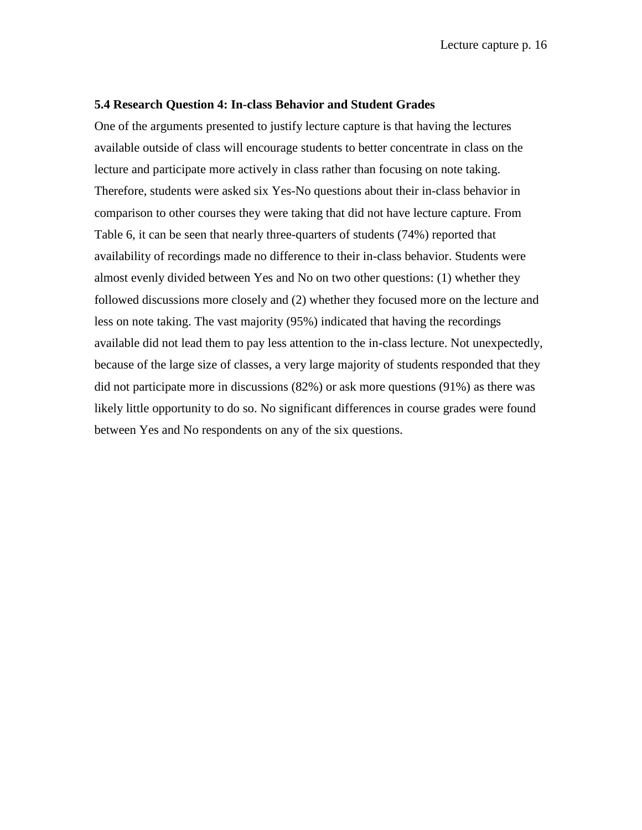#### **5.4 Research Question 4: In-class Behavior and Student Grades**

One of the arguments presented to justify lecture capture is that having the lectures available outside of class will encourage students to better concentrate in class on the lecture and participate more actively in class rather than focusing on note taking. Therefore, students were asked six Yes-No questions about their in-class behavior in comparison to other courses they were taking that did not have lecture capture. From Table 6, it can be seen that nearly three-quarters of students (74%) reported that availability of recordings made no difference to their in-class behavior. Students were almost evenly divided between Yes and No on two other questions: (1) whether they followed discussions more closely and (2) whether they focused more on the lecture and less on note taking. The vast majority (95%) indicated that having the recordings available did not lead them to pay less attention to the in-class lecture. Not unexpectedly, because of the large size of classes, a very large majority of students responded that they did not participate more in discussions (82%) or ask more questions (91%) as there was likely little opportunity to do so. No significant differences in course grades were found between Yes and No respondents on any of the six questions.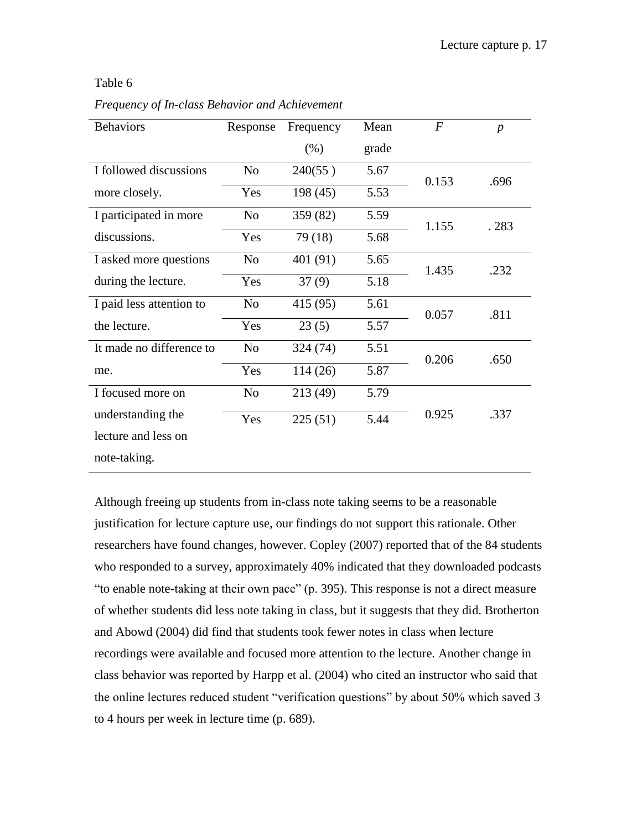# Table 6

*Frequency of In-class Behavior and Achievement*

| <b>Behaviors</b>         | Response       | Frequency | Mean  | $\boldsymbol{F}$ | $\boldsymbol{p}$ |
|--------------------------|----------------|-----------|-------|------------------|------------------|
|                          |                | (% )      | grade |                  |                  |
| I followed discussions   | N <sub>0</sub> | 240(55)   | 5.67  | 0.153            | .696             |
| more closely.            | Yes            | 198 (45)  | 5.53  |                  |                  |
| I participated in more   | N <sub>0</sub> | 359 (82)  | 5.59  | 1.155            | .283             |
| discussions.             | Yes            | 79 (18)   | 5.68  |                  |                  |
| I asked more questions   | N <sub>o</sub> | 401 (91)  | 5.65  | 1.435            | .232             |
| during the lecture.      | Yes            | 37(9)     | 5.18  |                  |                  |
| I paid less attention to | N <sub>o</sub> | 415 (95)  | 5.61  | 0.057            | .811             |
| the lecture.             | Yes            | 23(5)     | 5.57  |                  |                  |
| It made no difference to | N <sub>0</sub> | 324 (74)  | 5.51  | 0.206            | .650             |
| me.                      | Yes            | 114 (26)  | 5.87  |                  |                  |
| I focused more on        | N <sub>o</sub> | 213 (49)  | 5.79  |                  |                  |
| understanding the        | Yes            | 225(51)   | 5.44  | 0.925            | .337             |
| lecture and less on      |                |           |       |                  |                  |
| note-taking.             |                |           |       |                  |                  |

Although freeing up students from in-class note taking seems to be a reasonable justification for lecture capture use, our findings do not support this rationale. Other researchers have found changes, however. Copley (2007) reported that of the 84 students who responded to a survey, approximately 40% indicated that they downloaded podcasts ―to enable note-taking at their own pace‖ (p. 395). This response is not a direct measure of whether students did less note taking in class, but it suggests that they did. Brotherton and Abowd (2004) did find that students took fewer notes in class when lecture recordings were available and focused more attention to the lecture. Another change in class behavior was reported by Harpp et al. (2004) who cited an instructor who said that the online lectures reduced student "verification questions" by about 50% which saved 3 to 4 hours per week in lecture time (p. 689).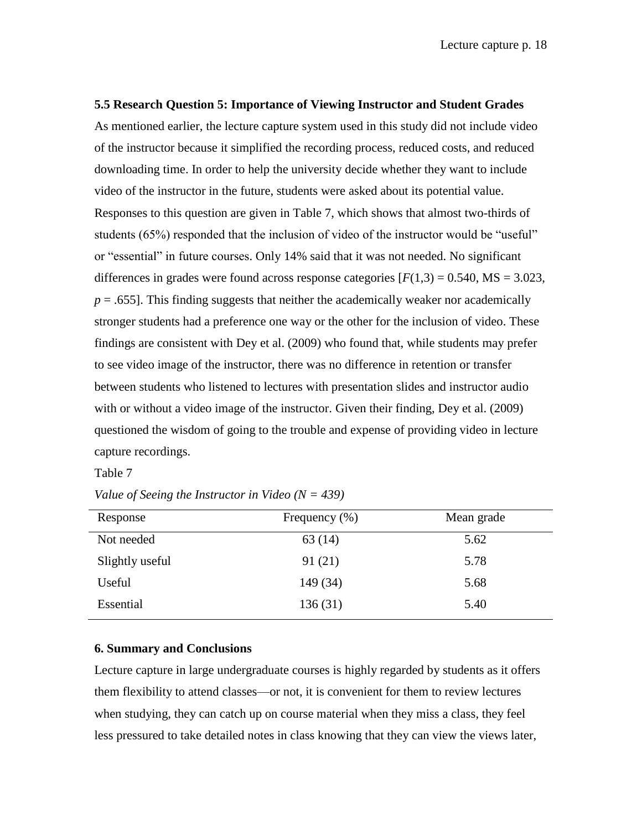# **5.5 Research Question 5: Importance of Viewing Instructor and Student Grades**

As mentioned earlier, the lecture capture system used in this study did not include video of the instructor because it simplified the recording process, reduced costs, and reduced downloading time. In order to help the university decide whether they want to include video of the instructor in the future, students were asked about its potential value. Responses to this question are given in Table 7, which shows that almost two-thirds of students (65%) responded that the inclusion of video of the instructor would be "useful" or "essential" in future courses. Only 14% said that it was not needed. No significant differences in grades were found across response categories  $[F(1,3) = 0.540, MS = 3.023,$  $p = 0.655$ . This finding suggests that neither the academically weaker nor academically stronger students had a preference one way or the other for the inclusion of video. These findings are consistent with Dey et al. (2009) who found that, while students may prefer to see video image of the instructor, there was no difference in retention or transfer between students who listened to lectures with presentation slides and instructor audio with or without a video image of the instructor. Given their finding, Dey et al. (2009) questioned the wisdom of going to the trouble and expense of providing video in lecture capture recordings.

Table 7

| Response        | Frequency $(\% )$ | Mean grade |
|-----------------|-------------------|------------|
| Not needed      | 63(14)            | 5.62       |
| Slightly useful | 91(21)            | 5.78       |
| Useful          | 149 (34)          | 5.68       |
| Essential       | 136(31)           | 5.40       |

*Value of Seeing the Instructor in Video (N = 439)*

# **6. Summary and Conclusions**

Lecture capture in large undergraduate courses is highly regarded by students as it offers them flexibility to attend classes—or not, it is convenient for them to review lectures when studying, they can catch up on course material when they miss a class, they feel less pressured to take detailed notes in class knowing that they can view the views later,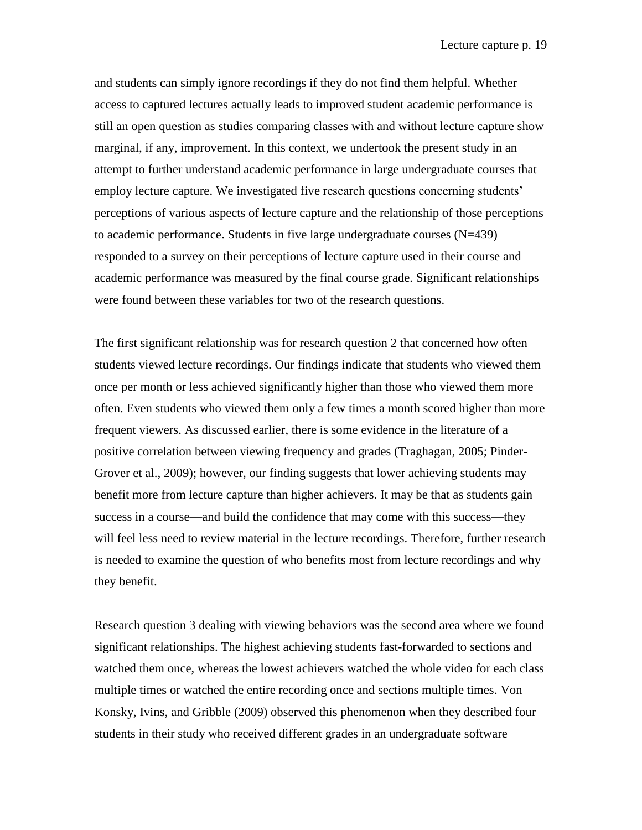and students can simply ignore recordings if they do not find them helpful. Whether access to captured lectures actually leads to improved student academic performance is still an open question as studies comparing classes with and without lecture capture show marginal, if any, improvement. In this context, we undertook the present study in an attempt to further understand academic performance in large undergraduate courses that employ lecture capture. We investigated five research questions concerning students' perceptions of various aspects of lecture capture and the relationship of those perceptions to academic performance. Students in five large undergraduate courses (N=439) responded to a survey on their perceptions of lecture capture used in their course and academic performance was measured by the final course grade. Significant relationships were found between these variables for two of the research questions.

The first significant relationship was for research question 2 that concerned how often students viewed lecture recordings. Our findings indicate that students who viewed them once per month or less achieved significantly higher than those who viewed them more often. Even students who viewed them only a few times a month scored higher than more frequent viewers. As discussed earlier, there is some evidence in the literature of a positive correlation between viewing frequency and grades (Traghagan, 2005; Pinder-Grover et al., 2009); however, our finding suggests that lower achieving students may benefit more from lecture capture than higher achievers. It may be that as students gain success in a course—and build the confidence that may come with this success—they will feel less need to review material in the lecture recordings. Therefore, further research is needed to examine the question of who benefits most from lecture recordings and why they benefit.

Research question 3 dealing with viewing behaviors was the second area where we found significant relationships. The highest achieving students fast-forwarded to sections and watched them once, whereas the lowest achievers watched the whole video for each class multiple times or watched the entire recording once and sections multiple times. Von Konsky, Ivins, and Gribble (2009) observed this phenomenon when they described four students in their study who received different grades in an undergraduate software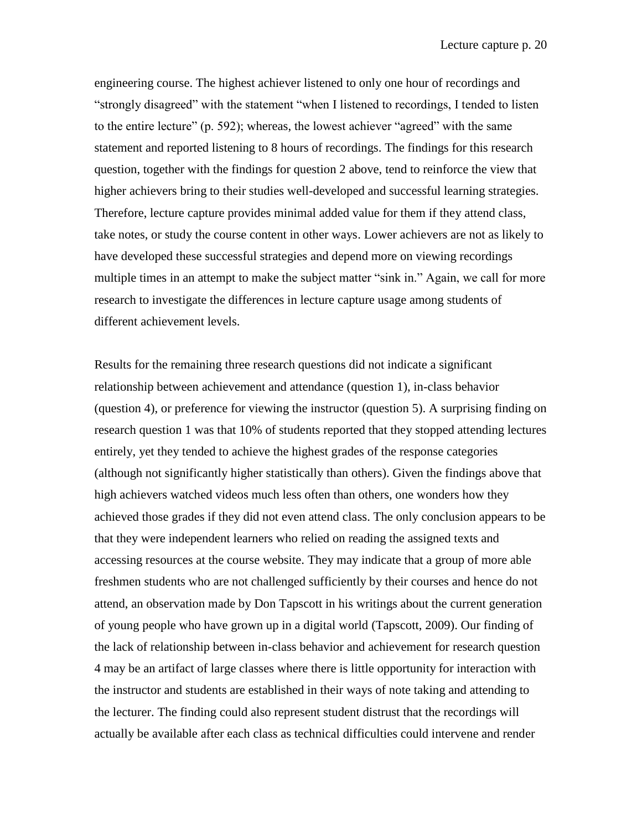engineering course. The highest achiever listened to only one hour of recordings and ―strongly disagreed‖ with the statement ―when I listened to recordings, I tended to listen to the entire lecture" (p. 592); whereas, the lowest achiever "agreed" with the same statement and reported listening to 8 hours of recordings. The findings for this research question, together with the findings for question 2 above, tend to reinforce the view that higher achievers bring to their studies well-developed and successful learning strategies. Therefore, lecture capture provides minimal added value for them if they attend class, take notes, or study the course content in other ways. Lower achievers are not as likely to have developed these successful strategies and depend more on viewing recordings multiple times in an attempt to make the subject matter "sink in." Again, we call for more research to investigate the differences in lecture capture usage among students of different achievement levels.

Results for the remaining three research questions did not indicate a significant relationship between achievement and attendance (question 1), in-class behavior (question 4), or preference for viewing the instructor (question 5). A surprising finding on research question 1 was that 10% of students reported that they stopped attending lectures entirely, yet they tended to achieve the highest grades of the response categories (although not significantly higher statistically than others). Given the findings above that high achievers watched videos much less often than others, one wonders how they achieved those grades if they did not even attend class. The only conclusion appears to be that they were independent learners who relied on reading the assigned texts and accessing resources at the course website. They may indicate that a group of more able freshmen students who are not challenged sufficiently by their courses and hence do not attend, an observation made by Don Tapscott in his writings about the current generation of young people who have grown up in a digital world (Tapscott, 2009). Our finding of the lack of relationship between in-class behavior and achievement for research question 4 may be an artifact of large classes where there is little opportunity for interaction with the instructor and students are established in their ways of note taking and attending to the lecturer. The finding could also represent student distrust that the recordings will actually be available after each class as technical difficulties could intervene and render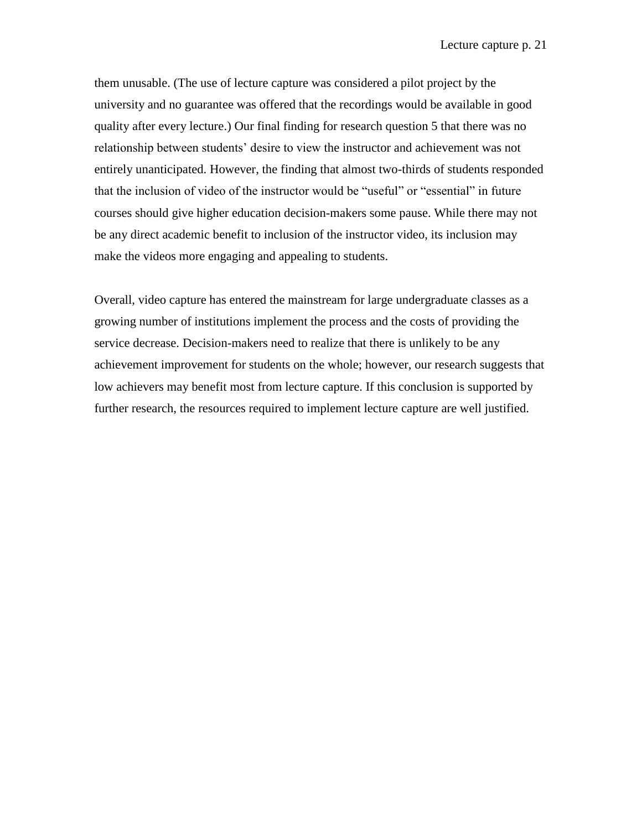them unusable. (The use of lecture capture was considered a pilot project by the university and no guarantee was offered that the recordings would be available in good quality after every lecture.) Our final finding for research question 5 that there was no relationship between students' desire to view the instructor and achievement was not entirely unanticipated. However, the finding that almost two-thirds of students responded that the inclusion of video of the instructor would be "useful" or "essential" in future courses should give higher education decision-makers some pause. While there may not be any direct academic benefit to inclusion of the instructor video, its inclusion may make the videos more engaging and appealing to students.

Overall, video capture has entered the mainstream for large undergraduate classes as a growing number of institutions implement the process and the costs of providing the service decrease. Decision-makers need to realize that there is unlikely to be any achievement improvement for students on the whole; however, our research suggests that low achievers may benefit most from lecture capture. If this conclusion is supported by further research, the resources required to implement lecture capture are well justified.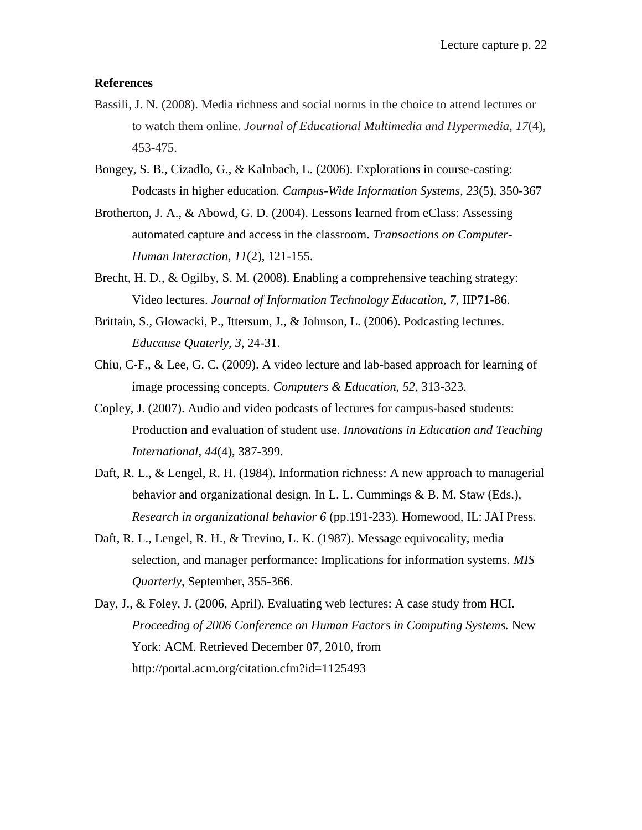### **References**

- Bassili, J. N. (2008). Media richness and social norms in the choice to attend lectures or to watch them online. *Journal of Educational Multimedia and Hypermedia, 17*(4), 453-475.
- Bongey, S. B., Cizadlo, G., & Kalnbach, L. (2006). Explorations in course-casting: Podcasts in higher education. *Campus-Wide Information Systems, 23*(5), 350-367
- Brotherton, J. A., & Abowd, G. D. (2004). Lessons learned from eClass: Assessing automated capture and access in the classroom. *Transactions on Computer-Human Interaction, 11*(2), 121-155.
- Brecht, H. D., & Ogilby, S. M. (2008). Enabling a comprehensive teaching strategy: Video lectures. *Journal of Information Technology Education, 7*, IIP71-86.
- Brittain, S., Glowacki, P., Ittersum, J., & Johnson, L. (2006). Podcasting lectures. *Educause Quaterly, 3*, 24-31.
- Chiu, C-F., & Lee, G. C. (2009). A video lecture and lab-based approach for learning of image processing concepts. *Computers & Education, 52*, 313-323.
- Copley, J. (2007). Audio and video podcasts of lectures for campus-based students: Production and evaluation of student use. *Innovations in Education and Teaching International, 44*(4), 387-399.
- Daft, R. L., & Lengel, R. H. (1984). Information richness: A new approach to managerial behavior and organizational design. In L. L. Cummings & B. M. Staw (Eds.), *Research in organizational behavior 6* (pp.191-233). Homewood, IL: JAI Press.
- Daft, R. L., Lengel, R. H., & Trevino, L. K. (1987). Message equivocality, media selection, and manager performance: Implications for information systems. *MIS Quarterly*, September, 355-366.
- Day, J., & Foley, J. (2006, April). Evaluating web lectures: A case study from HCI. *Proceeding of 2006 Conference on Human Factors in Computing Systems.* New York: ACM. Retrieved December 07, 2010, from http://portal.acm.org/citation.cfm?id=1125493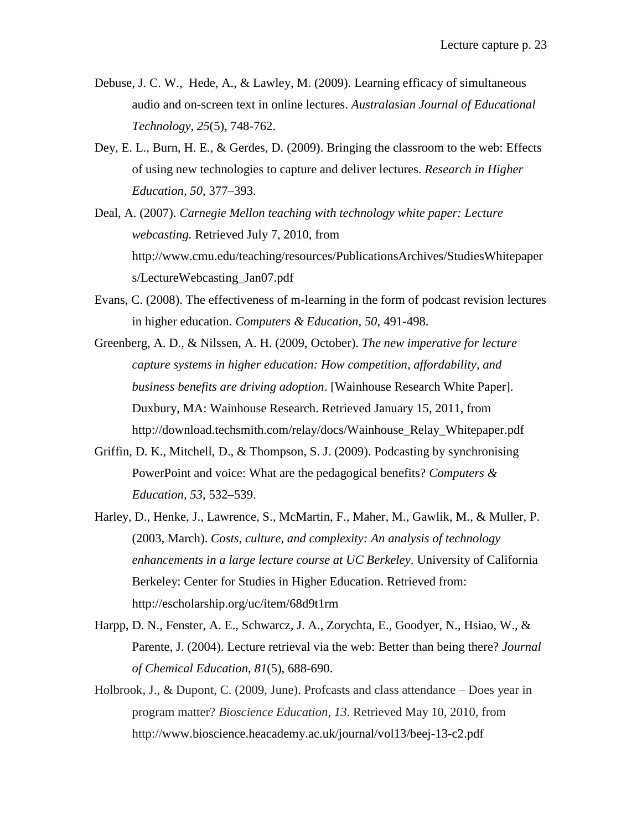- Debuse, J. C. W., Hede, A., & Lawley, M. (2009). Learning efficacy of simultaneous audio and on-screen text in online lectures. *Australasian Journal of Educational Technology, 25*(5), 748-762.
- Dey, E. L., Burn, H. E., & Gerdes, D. (2009). Bringing the classroom to the web: Effects of using new technologies to capture and deliver lectures. *Research in Higher Education, 50*, 377–393.
- Deal, A. (2007). *Carnegie Mellon teaching with technology white paper: Lecture webcasting.* Retrieved July 7, 2010, from http://www.cmu.edu/teaching/resources/PublicationsArchives/StudiesWhitepaper s/LectureWebcasting\_Jan07.pdf
- Evans, C. (2008). The effectiveness of m-learning in the form of podcast revision lectures in higher education. *Computers & Education, 50*, 491-498.
- Greenberg, A. D., & Nilssen, A. H. (2009, October). *The new imperative for lecture capture systems in higher education: How competition, affordability, and business benefits are driving adoption*. [Wainhouse Research White Paper]. Duxbury, MA: Wainhouse Research. Retrieved January 15, 2011, from http://download.techsmith.com/relay/docs/Wainhouse\_Relay\_Whitepaper.pdf
- Griffin, D. K., Mitchell, D., & Thompson, S. J. (2009). Podcasting by synchronising PowerPoint and voice: What are the pedagogical benefits? *Computers & Education, 53*, 532–539.
- Harley, D., Henke, J., Lawrence, S., McMartin, F., Maher, M., Gawlik, M., & Muller, P. (2003, March). *Costs, culture, and complexity: An analysis of technology enhancements in a large lecture course at UC Berkeley*. University of California Berkeley: Center for Studies in Higher Education. Retrieved from: http://escholarship.org/uc/item/68d9t1rm
- Harpp, D. N., Fenster, A. E., Schwarcz, J. A., Zorychta, E., Goodyer, N., Hsiao, W., & Parente, J. (2004). Lecture retrieval via the web: Better than being there? *Journal of Chemical Education, 81*(5), 688-690.
- Holbrook, J., & Dupont, C. (2009, June). Profcasts and class attendance Does year in program matter? *Bioscience Education, 13*. Retrieved May 10, 2010, from http://www.bioscience.heacademy.ac.uk/journal/vol13/beej-13-c2.pdf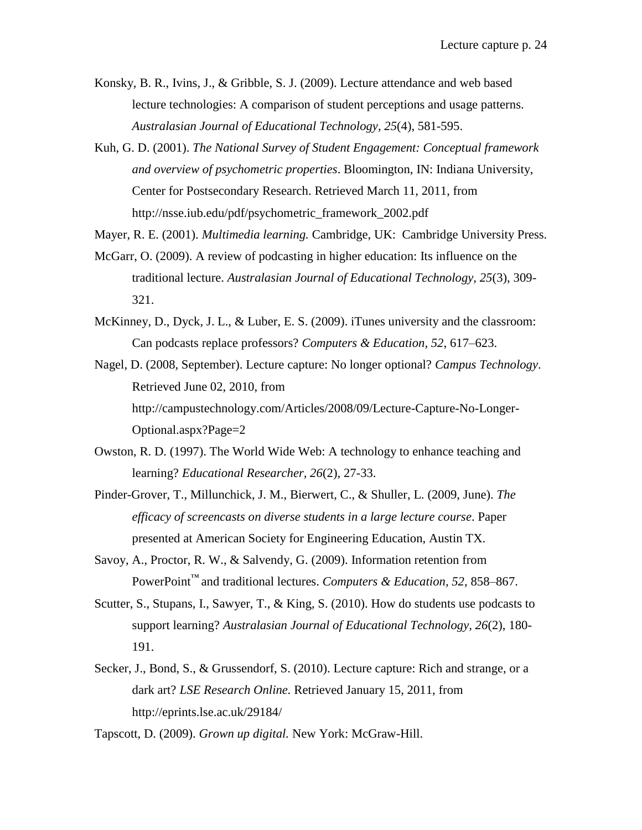- Konsky, B. R., Ivins, J., & Gribble, S. J. (2009). Lecture attendance and web based lecture technologies: A comparison of student perceptions and usage patterns. *Australasian Journal of Educational Technology, 25*(4), 581-595.
- Kuh, G. D. (2001). *The National Survey of Student Engagement: Conceptual framework and overview of psychometric properties*. Bloomington, IN: Indiana University, Center for Postsecondary Research. Retrieved March 11, 2011, from http://nsse.iub.edu/pdf/psychometric\_framework\_2002.pdf
- Mayer, R. E. (2001). *Multimedia learning.* Cambridge, UK: Cambridge University Press.
- McGarr, O. (2009). A review of podcasting in higher education: Its influence on the traditional lecture. *Australasian Journal of Educational Technology, 25*(3), 309- 321.
- McKinney, D., Dyck, J. L., & Luber, E. S. (2009). iTunes university and the classroom: Can podcasts replace professors? *Computers & Education, 52*, 617–623.
- Nagel, D. (2008, September). Lecture capture: No longer optional? *Campus Technology*. Retrieved June 02, 2010, from http://campustechnology.com/Articles/2008/09/Lecture-Capture-No-Longer-Optional.aspx?Page=2
- Owston, R. D. (1997). The World Wide Web: A technology to enhance teaching and learning? *Educational Researcher, 26*(2), 27-33.
- Pinder-Grover, T., Millunchick, J. M., Bierwert, C., & Shuller, L. (2009, June). *The efficacy of screencasts on diverse students in a large lecture course*. Paper presented at American Society for Engineering Education, Austin TX.
- Savoy, A., Proctor, R. W., & Salvendy, G. (2009). Information retention from PowerPoint™ and traditional lectures. *Computers & Education, 52*, 858–867.
- Scutter, S., Stupans, I., Sawyer, T., & King, S. (2010). How do students use podcasts to support learning? *Australasian Journal of Educational Technology, 26*(2), 180- 191.
- Secker, J., Bond, S., & Grussendorf, S. (2010). Lecture capture: Rich and strange, or a dark art? *LSE Research Online.* Retrieved January 15, 2011, from http://eprints.lse.ac.uk/29184/

Tapscott, D. (2009). *Grown up digital.* New York: McGraw-Hill.